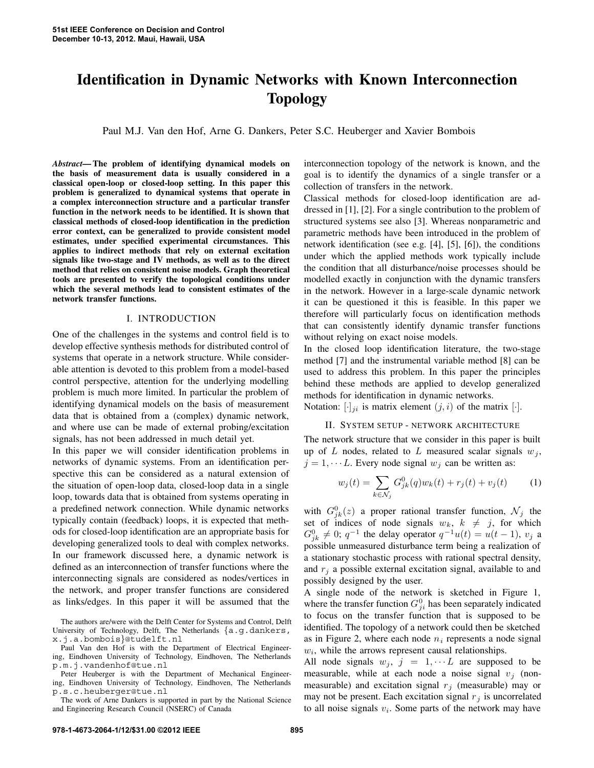# **Identification in Dynamic Networks with Known Interconnection Topology**

Paul M.J. Van den Hof, Arne G. Dankers, Peter S.C. Heuberger and Xavier Bombois

*Abstract***— The problem of identifying dynamical models on the basis of measurement data is usually considered in a classical open-loop or closed-loop setting. In this paper this problem is generalized to dynamical systems that operate in a complex interconnection structure and a particular transfer function in the network needs to be identified. It is shown that classical methods of closed-loop identification in the prediction error context, can be generalized to provide consistent model estimates, under specified experimental circumstances. This applies to indirect methods that rely on external excitation signals like two-stage and IV methods, as well as to the direct method that relies on consistent noise models. Graph theoretical tools are presented to verify the topological conditions under which the several methods lead to consistent estimates of the network transfer functions.**

## I. INTRODUCTION

One of the challenges in the systems and control field is to develop effective synthesis methods for distributed control of systems that operate in a network structure. While considerable attention is devoted to this problem from a model-based control perspective, attention for the underlying modelling problem is much more limited. In particular the problem of identifying dynamical models on the basis of measurement data that is obtained from a (complex) dynamic network, and where use can be made of external probing/excitation signals, has not been addressed in much detail yet.

In this paper we will consider identification problems in networks of dynamic systems. From an identification perspective this can be considered as a natural extension of the situation of open-loop data, closed-loop data in a single loop, towards data that is obtained from systems operating in a predefined network connection. While dynamic networks typically contain (feedback) loops, it is expected that methods for closed-loop identification are an appropriate basis for developing generalized tools to deal with complex networks. In our framework discussed here, a dynamic network is defined as an interconnection of transfer functions where the interconnecting signals are considered as nodes/vertices in the network, and proper transfer functions are considered as links/edges. In this paper it will be assumed that the

The authors are/were with the Delft Center for Systems and Control, Delft University of Technology, Delft, The Netherlands {a.g.dankers, x.j.a.bombois}@tudelft.nl

Paul Van den Hof is with the Department of Electrical Engineering, Eindhoven University of Technology, Eindhoven, The Netherlands p.m.j.vandenhof@tue.nl

Peter Heuberger is with the Department of Mechanical Engineering, Eindhoven University of Technology, Eindhoven, The Netherlands p.s.c.heuberger@tue.nl

The work of Arne Dankers is supported in part by the National Science and Engineering Research Council (NSERC) of Canada

interconnection topology of the network is known, and the goal is to identify the dynamics of a single transfer or a collection of transfers in the network.

Classical methods for closed-loop identification are addressed in [1], [2]. For a single contribution to the problem of structured systems see also [3]. Whereas nonparametric and parametric methods have been introduced in the problem of network identification (see e.g. [4], [5], [6]), the conditions under which the applied methods work typically include the condition that all disturbance/noise processes should be modelled exactly in conjunction with the dynamic transfers in the network. However in a large-scale dynamic network it can be questioned it this is feasible. In this paper we therefore will particularly focus on identification methods that can consistently identify dynamic transfer functions without relying on exact noise models.

In the closed loop identification literature, the two-stage method [7] and the instrumental variable method [8] can be used to address this problem. In this paper the principles behind these methods are applied to develop generalized methods for identification in dynamic networks.

Notation:  $[\cdot]_{ji}$  is matrix element  $(j, i)$  of the matrix  $[\cdot]$ .

## II. SYSTEM SETUP - NETWORK ARCHITECTURE

The network structure that we consider in this paper is built up of L nodes, related to L measured scalar signals  $w_i$ ,  $j = 1, \dots L$ . Every node signal  $w_j$  can be written as:

$$
w_j(t) = \sum_{k \in \mathcal{N}_j} G_{jk}^0(q) w_k(t) + r_j(t) + v_j(t)
$$
 (1)

with  $G_{jk}^0(z)$  a proper rational transfer function,  $\mathcal{N}_j$  the set of indices of node signals  $w_k$ ,  $k \neq j$ , for which  $G_{jk}^0 \neq 0$ ;  $q^{-1}$  the delay operator  $q^{-1}u(t) = u(t-1)$ ,  $v_j$  a possible unmeasured disturbance term being a realization of a stationary stochastic process with rational spectral density, and  $r_i$  a possible external excitation signal, available to and possibly designed by the user.

A single node of the network is sketched in Figure 1, where the transfer function  $G_{ji}^0$  has been separately indicated to focus on the transfer function that is supposed to be identified. The topology of a network could then be sketched as in Figure 2, where each node  $n_i$  represents a node signal  $w_i$ , while the arrows represent causal relationships.

All node signals  $w_j$ ,  $j = 1, \dots L$  are supposed to be measurable, while at each node a noise signal  $v_i$  (nonmeasurable) and excitation signal  $r_i$  (measurable) may or may not be present. Each excitation signal  $r_j$  is uncorrelated to all noise signals  $v_i$ . Some parts of the network may have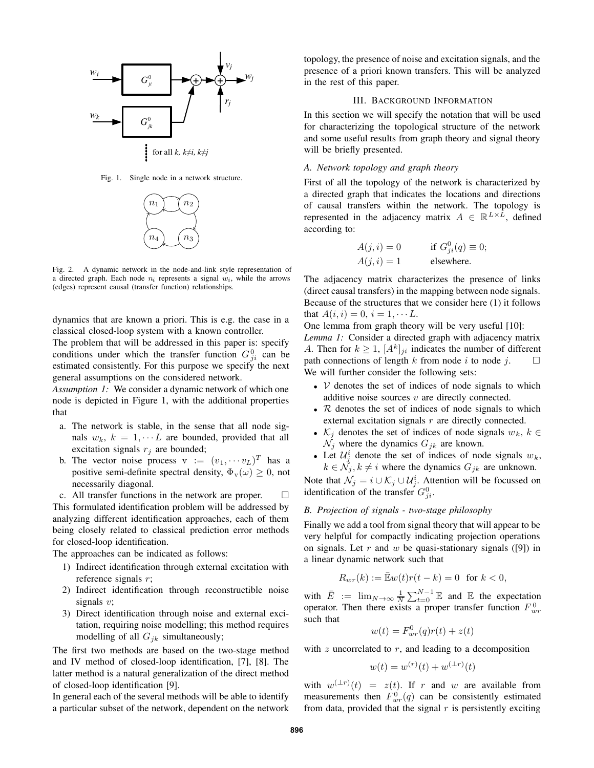

Fig. 1. Single node in a network structure.



Fig. 2. A dynamic network in the node-and-link style representation of a directed graph. Each node  $n_i$  represents a signal  $w_i$ , while the arrows (edges) represent causal (transfer function) relationships.

dynamics that are known a priori. This is e.g. the case in a classical closed-loop system with a known controller.

The problem that will be addressed in this paper is: specify conditions under which the transfer function  $G_{ji}^0$  can be estimated consistently. For this purpose we specify the next general assumptions on the considered network.

*Assumption 1:* We consider a dynamic network of which one node is depicted in Figure 1, with the additional properties that

- a. The network is stable, in the sense that all node signals  $w_k$ ,  $k = 1, \dots L$  are bounded, provided that all excitation signals  $r_i$  are bounded;
- b. The vector noise process  $v := (v_1, \dots, v_L)^T$  has a positive semi-definite spectral density,  $\Phi_{\rm v}(\omega) \geq 0$ , not necessarily diagonal.

c. All transfer functions in the network are proper.  $\Box$ This formulated identification problem will be addressed by analyzing different identification approaches, each of them being closely related to classical prediction error methods for closed-loop identification.

The approaches can be indicated as follows:

- 1) Indirect identification through external excitation with reference signals  $r$ ;
- 2) Indirect identification through reconstructible noise signals  $v$ ;
- 3) Direct identification through noise and external excitation, requiring noise modelling; this method requires modelling of all  $G_{jk}$  simultaneously;

The first two methods are based on the two-stage method and IV method of closed-loop identification, [7], [8]. The latter method is a natural generalization of the direct method of closed-loop identification [9].

In general each of the several methods will be able to identify a particular subset of the network, dependent on the network

topology, the presence of noise and excitation signals, and the presence of a priori known transfers. This will be analyzed in the rest of this paper.

## III. BACKGROUND INFORMATION

In this section we will specify the notation that will be used for characterizing the topological structure of the network and some useful results from graph theory and signal theory will be briefly presented.

## *A. Network topology and graph theory*

First of all the topology of the network is characterized by a directed graph that indicates the locations and directions of causal transfers within the network. The topology is represented in the adjacency matrix  $A \in \mathbb{R}^{L \times L}$ , defined according to:

$$
A(j, i) = 0
$$
 if  $G_{ji}^0(q) \equiv 0$ ;  

$$
A(j, i) = 1
$$
 elsewhere.

The adjacency matrix characterizes the presence of links (direct causal transfers) in the mapping between node signals. Because of the structures that we consider here (1) it follows that  $A(i, i) = 0, i = 1, \dots L$ .

One lemma from graph theory will be very useful [10]:

*Lemma 1:* Consider a directed graph with adjacency matrix A. Then for  $k \geq 1$ ,  $[A^k]_{ji}$  indicates the number of different path connections of length  $k$  from node  $i$  to node  $j$ . We will further consider the following sets:

- $V$  denotes the set of indices of node signals to which additive noise sources  $v$  are directly connected.
- $R$  denotes the set of indices of node signals to which external excitation signals  $r$  are directly connected.
- $K_j$  denotes the set of indices of node signals  $w_k$ ,  $k \in$  $\mathcal{N}_j$  where the dynamics  $G_{jk}$  are known.
- Let  $\mathcal{U}_j^i$  denote the set of indices of node signals  $w_k$ ,  $k \in \mathcal{N}_j, k \neq i$  where the dynamics  $G_{jk}$  are unknown.

Note that  $\mathcal{N}_j = i \cup \mathcal{K}_j \cup \mathcal{U}_j^i$ . Attention will be focussed on identification of the transfer  $G_{ji}^0$ .

#### *B. Projection of signals - two-stage philosophy*

Finally we add a tool from signal theory that will appear to be very helpful for compactly indicating projection operations on signals. Let  $r$  and  $w$  be quasi-stationary signals ([9]) in a linear dynamic network such that

$$
R_{wr}(k) := \bar{\mathbb{E}}w(t)r(t-k) = 0 \text{ for } k < 0,
$$

with  $\overline{E}$  :=  $\lim_{N \to \infty} \frac{1}{N} \sum_{t=0}^{N-1} \mathbb{E}$  and  $\mathbb{E}$  the expectation operator. Then there exists a proper transfer function  $F_{wr}^0$ such that

$$
w(t) = F_{wr}^0(q)r(t) + z(t)
$$

with  $z$  uncorrelated to  $r$ , and leading to a decomposition

$$
w(t) = w^{(r)}(t) + w^{(\perp r)}(t)
$$

with  $w^{(\perp r)}(t) = z(t)$ . If r and w are available from measurements then  $F_{wr}^{0}(q)$  can be consistently estimated from data, provided that the signal  $r$  is persistently exciting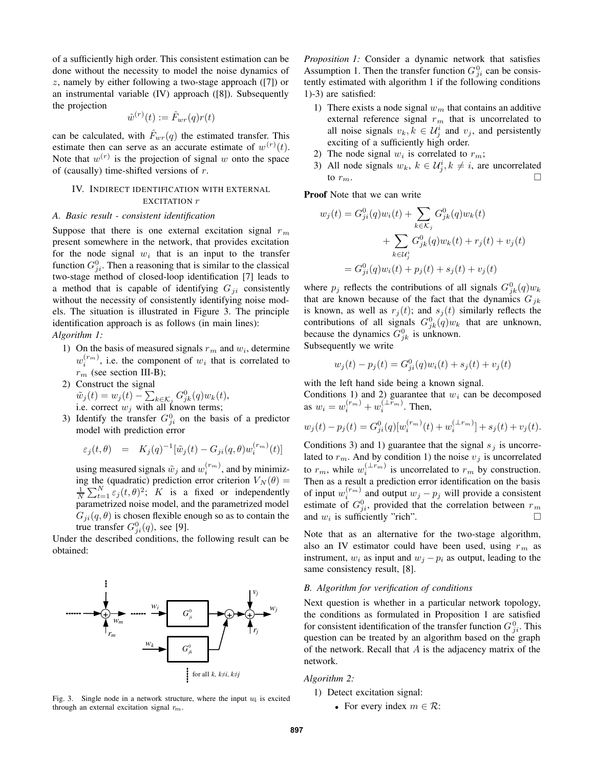of a sufficiently high order. This consistent estimation can be done without the necessity to model the noise dynamics of z, namely by either following a two-stage approach ([7]) or an instrumental variable (IV) approach ([8]). Subsequently the projection

$$
\hat{w}^{(r)}(t) := \hat{F}_{wr}(q)r(t)
$$

can be calculated, with  $F_{wr}(q)$  the estimated transfer. This estimate then can serve as an accurate estimate of  $w^{(r)}(t)$ . Note that  $w^{(r)}$  is the projection of signal w onto the space of (causally) time-shifted versions of  $r$ .

# IV. INDIRECT IDENTIFICATION WITH EXTERNAL EXCITATION  $r$

## *A. Basic result - consistent identification*

Suppose that there is one external excitation signal  $r<sub>m</sub>$ present somewhere in the network, that provides excitation for the node signal  $w_i$  that is an input to the transfer function  $G_{ji}^0$ . Then a reasoning that is similar to the classical two-stage method of closed-loop identification [7] leads to a method that is capable of identifying  $G_{ii}$  consistently without the necessity of consistently identifying noise models. The situation is illustrated in Figure 3. The principle identification approach is as follows (in main lines): *Algorithm 1:*

- 1) On the basis of measured signals  $r_m$  and  $w_i$ , determine  $w_i^{(r_m)}$ , i.e. the component of  $w_i$  that is correlated to  $r_m$  (see section III-B);
- 2) Construct the signal  $\tilde{w}_j(t) = w_j(t) - \sum_{k \in \mathcal{K}_j} G_{jk}^0(q) w_k(t),$ i.e. correct  $w_j$  with all known terms;
- 3) Identify the transfer  $G_{ji}^0$  on the basis of a predictor model with prediction error

$$
\varepsilon_j(t,\theta) = K_j(q)^{-1} [\tilde{w}_j(t) - G_{ji}(q,\theta) w_i^{(r_m)}(t)]
$$

using measured signals  $\tilde{w}_j$  and  $w_i^{(r_m)}$ , and by minimizing the (quadratic) prediction error criterion  $V_N(\theta)$  =  $\frac{1}{N} \sum_{t=1}^{N} \varepsilon_j(t,\theta)^2$ ; K is a fixed or independently parametrized noise model, and the parametrized model  $G_{ii}(q, \theta)$  is chosen flexible enough so as to contain the true transfer  $G_{ji}^0(q)$ , see [9].

Under the described conditions, the following result can be obtained:



Fig. 3. Single node in a network structure, where the input  $w_i$  is excited through an external excitation signal  $r_m$ .

*Proposition 1:* Consider a dynamic network that satisfies Assumption 1. Then the transfer function  $G_{ji}^0$  can be consistently estimated with algorithm 1 if the following conditions 1)-3) are satisfied:

- 1) There exists a node signal  $w<sub>m</sub>$  that contains an additive external reference signal  $r<sub>m</sub>$  that is uncorrelated to all noise signals  $v_k, k \in \mathcal{U}_j^i$  and  $v_j$ , and persistently exciting of a sufficiently high order.
- 2) The node signal  $w_i$  is correlated to  $r_m$ ;
- 3) All node signals  $w_k$ ,  $k \in \mathcal{U}_j^i$ ,  $k \neq i$ , are uncorrelated to  $r_m$ .

**Proof** Note that we can write

$$
w_j(t) = G_{ji}^0(q)w_i(t) + \sum_{k \in \mathcal{K}_j} G_{jk}^0(q)w_k(t)
$$
  
+ 
$$
\sum_{k \in \mathcal{U}_j^i} G_{jk}^0(q)w_k(t) + r_j(t) + v_j(t)
$$
  
= 
$$
G_{ji}^0(q)w_i(t) + p_j(t) + s_j(t) + v_j(t)
$$

where  $p_j$  reflects the contributions of all signals  $G_{jk}^0(q)w_k$ that are known because of the fact that the dynamics  $G_{ik}$ is known, as well as  $r_i(t)$ ; and  $s_i(t)$  similarly reflects the contributions of all signals  $G_{jk}^0(q)w_k$  that are unknown, because the dynamics  $G_{jk}^0$  is unknown. Subsequently we write

$$
\mathcal{L}^{\text{S}}(\mathcal{L}^{\text{S}}(\mathcal{L}^{\text{S}}))
$$

$$
w_j(t) - p_j(t) = G_{ji}^0(q)w_i(t) + s_j(t) + v_j(t)
$$

with the left hand side being a known signal.

Conditions 1) and 2) guarantee that  $w_i$  can be decomposed as  $w_i = w_i^{(r_m)} + w_i^{(\perp \bar{r}_m)}$ . Then,

$$
w_j(t) - p_j(t) = G_{ji}^0(q)[w_i^{(r_m)}(t) + w_i^{(\perp r_m)}] + s_j(t) + v_j(t).
$$

Conditions 3) and 1) guarantee that the signal  $s_j$  is uncorrelated to  $r_m$ . And by condition 1) the noise  $v_j$  is uncorrelated to  $r_m$ , while  $w_i^{(\perp r_m)}$  is uncorrelated to  $r_m$  by construction. Then as a result a prediction error identification on the basis of input  $w_i^{(r_m)}$  and output  $w_j - p_j$  will provide a consistent estimate of  $G_{ji}^0$ , provided that the correlation between  $r_m$ and  $w_i$  is sufficiently "rich".  $\Box$  $\Box$ 

Note that as an alternative for the two-stage algorithm, also an IV estimator could have been used, using  $r_m$  as instrument,  $w_i$  as input and  $w_j - p_i$  as output, leading to the same consistency result, [8].

#### *B. Algorithm for verification of conditions*

Next question is whether in a particular network topology, the conditions as formulated in Proposition 1 are satisfied for consistent identification of the transfer function  $G_{ji}^0$ . This question can be treated by an algorithm based on the graph of the network. Recall that  $A$  is the adjacency matrix of the network.

*Algorithm 2:*

- 1) Detect excitation signal:
	- For every index  $m \in \mathcal{R}$ :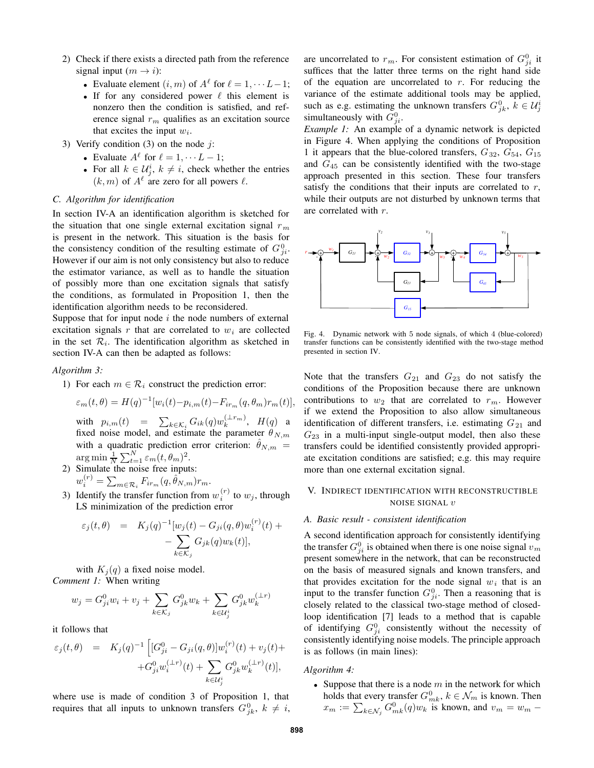- 2) Check if there exists a directed path from the reference signal input  $(m \rightarrow i)$ :
	- Evaluate element  $(i, m)$  of  $A^{\ell}$  for  $\ell = 1, \cdots L-1$ ;
	- If for any considered power  $\ell$  this element is nonzero then the condition is satisfied, and reference signal  $r<sub>m</sub>$  qualifies as an excitation source that excites the input  $w_i$ .
- 3) Verify condition (3) on the node  $j$ :
	- Evaluate  $A^{\ell}$  for  $\ell = 1, \cdots L 1;$
	- For all  $k \in \mathcal{U}_j^i$ ,  $k \neq i$ , check whether the entries  $(k, m)$  of  $A^{\ell}$  are zero for all powers  $\ell$ .

#### *C. Algorithm for identification*

In section IV-A an identification algorithm is sketched for the situation that one single external excitation signal  $r_m$ is present in the network. This situation is the basis for the consistency condition of the resulting estimate of  $G_{ji}^0$ . However if our aim is not only consistency but also to reduce the estimator variance, as well as to handle the situation of possibly more than one excitation signals that satisfy the conditions, as formulated in Proposition 1, then the identification algorithm needs to be reconsidered.

Suppose that for input node  $i$  the node numbers of external excitation signals  $r$  that are correlated to  $w_i$  are collected in the set  $\mathcal{R}_i$ . The identification algorithm as sketched in section IV-A can then be adapted as follows:

#### *Algorithm 3:*

1) For each  $m \in \mathcal{R}_i$  construct the prediction error:

$$
\varepsilon_m(t,\theta) = H(q)^{-1}[w_i(t) - p_{i,m}(t) - F_{ir_m}(q,\theta_m)r_m(t)],
$$

with  $p_{i,m}(t)$  =  $\sum_{k \in \mathcal{K}_i} G_{ik}(q) w_k^{(\perp r_m)},$   $H(q)$  a fixed noise model, and estimate the parameter  $\theta_{N,m}$ with a quadratic prediction error criterion:  $\hat{\theta}_{N,m} =$  $\arg \min \frac{1}{N} \sum_{t=1}^{N} \varepsilon_m(t, \theta_m)^2$ .

- 2) Simulate the noise free inputs:  $w_i^{(r)} = \sum_{m \in \mathcal{R}_i} F_{ir_m}(q, \hat{\theta}_{N,m}) r_m.$
- 3) Identify the transfer function from  $w_i^{(r)}$  to  $w_j$ , through LS minimization of the prediction error

$$
\varepsilon_j(t,\theta) = K_j(q)^{-1}[w_j(t) - G_{ji}(q,\theta)w_i^{(r)}(t) + \newline - \sum_{k \in \mathcal{K}_j} G_{jk}(q)w_k(t)],
$$

with  $K_j(q)$  a fixed noise model. *Comment 1:* When writing

$$
w_j = G_{ji}^0 w_i + v_j + \sum_{k \in \mathcal{K}_j} G_{jk}^0 w_k + \sum_{k \in \mathcal{U}_j^i} G_{jk}^0 w_k^{(\perp r)}
$$

it follows that

$$
\varepsilon_j(t,\theta) = K_j(q)^{-1} \left[ [G_{ji}^0 - G_{ji}(q,\theta)] w_i^{(r)}(t) + v_j(t) + G_{ji}^0 w_i^{(1-r)}(t) + \sum_{k \in \mathcal{U}_j^i} G_{jk}^0 w_k^{(1-r)}(t) \right],
$$

where use is made of condition 3 of Proposition 1, that requires that all inputs to unknown transfers  $G_{jk}^0$ ,  $k \neq i$ ,

are uncorrelated to  $r_m$ . For consistent estimation of  $G_{ji}^0$  it suffices that the latter three terms on the right hand side of the equation are uncorrelated to  $r$ . For reducing the variance of the estimate additional tools may be applied, such as e.g. estimating the unknown transfers  $G_{jk}^0$ ,  $k \in \mathcal{U}_j^i$ simultaneously with  $G_{ji}^0$ .

*Example 1:* An example of a dynamic network is depicted in Figure 4. When applying the conditions of Proposition 1 it appears that the blue-colored transfers,  $G_{32}$ ,  $G_{54}$ ,  $G_{15}$ and  $G_{45}$  can be consistently identified with the two-stage approach presented in this section. These four transfers satisfy the conditions that their inputs are correlated to  $r$ , while their outputs are not disturbed by unknown terms that are correlated with r.



Fig. 4. Dynamic network with 5 node signals, of which 4 (blue-colored) transfer functions can be consistently identified with the two-stage method presented in section IV.

Note that the transfers  $G_{21}$  and  $G_{23}$  do not satisfy the conditions of the Proposition because there are unknown contributions to  $w_2$  that are correlated to  $r_m$ . However if we extend the Proposition to also allow simultaneous identification of different transfers, i.e. estimating  $G_{21}$  and  $G_{23}$  in a multi-input single-output model, then also these transfers could be identified consistently provided appropriate excitation conditions are satisfied; e.g. this may require more than one external excitation signal.

## V. INDIRECT IDENTIFICATION WITH RECONSTRUCTIBLE NOISE SIGNAL  $v$

#### *A. Basic result - consistent identification*

A second identification approach for consistently identifying the transfer  $G_{ji}^0$  is obtained when there is one noise signal  $v_m$ present somewhere in the network, that can be reconstructed on the basis of measured signals and known transfers, and that provides excitation for the node signal  $w_i$  that is an input to the transfer function  $G_{ji}^0$ . Then a reasoning that is closely related to the classical two-stage method of closedloop identification [7] leads to a method that is capable of identifying  $G_{ji}^0$  consistently without the necessity of consistently identifying noise models. The principle approach is as follows (in main lines):

#### *Algorithm 4:*

• Suppose that there is a node  $m$  in the network for which holds that every transfer  $G_{mk}^0$ ,  $k \in \mathcal{N}_m$  is known. Then  $x_m := \sum_{k \in \mathcal{N}_j} G_{mk}^0(q) w_k$  is known, and  $v_m = w_m -$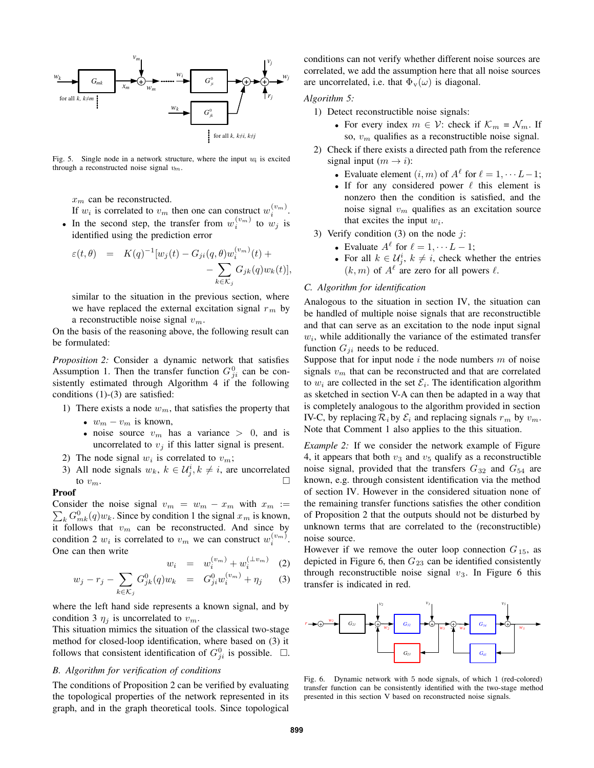

Fig. 5. Single node in a network structure, where the input  $w_i$  is excited through a reconstructed noise signal  $v_m$ .

 $x_m$  can be reconstructed.

If  $w_i$  is correlated to  $v_m$  then one can construct  $w_i^{(v_m)}$ .

• In the second step, the transfer from  $w_i^{(v_m)}$  to  $w_j$  is identified using the prediction error

$$
\varepsilon(t,\theta) = K(q)^{-1}[w_j(t) - G_{ji}(q,\theta)w_i^{(v_m)}(t) + \newline - \sum_{k \in \mathcal{K}_j} G_{jk}(q)w_k(t)],
$$

similar to the situation in the previous section, where we have replaced the external excitation signal  $r_m$  by a reconstructible noise signal  $v_m$ .

On the basis of the reasoning above, the following result can be formulated:

*Proposition 2:* Consider a dynamic network that satisfies Assumption 1. Then the transfer function  $G_{ji}^0$  can be consistently estimated through Algorithm 4 if the following conditions (1)-(3) are satisfied:

- 1) There exists a node  $w_m$ , that satisfies the property that
	- $w_m v_m$  is known,
	- noise source  $v_m$  has a variance  $> 0$ , and is uncorrelated to  $v_j$  if this latter signal is present.
- 2) The node signal  $w_i$  is correlated to  $v_m$ ;
- 3) All node signals  $w_k$ ,  $k \in \mathcal{U}_j^i$ ,  $k \neq i$ , are uncorrelated to  $v_m$ .

#### **Proof**

Consider the noise signal  $v_m = w_m - x_m$  with  $x_m :=$  $\sum_{k} G^{0}_{mk}(q)w_k$ . Since by condition 1 the signal  $x_m$  is known, it follows that  $v_m$  can be reconstructed. And since by condition 2  $w_i$  is correlated to  $v_m$  we can construct  $w_i^{(v_m)}$ . One can then write

$$
w_i = w_i^{(v_m)} + w_i^{(\perp v_m)} \quad (2)
$$

$$
w_j - r_j - \sum_{k \in \mathcal{K}_j} G_{jk}^0(q) w_k = G_{ji}^0 w_i^{(v_m)} + \eta_j \qquad (3)
$$

where the left hand side represents a known signal, and by condition 3  $\eta_j$  is uncorrelated to  $v_m$ .

This situation mimics the situation of the classical two-stage method for closed-loop identification, where based on (3) it follows that consistent identification of  $G_{ji}^0$  is possible.  $\Box$ .

## *B. Algorithm for verification of conditions*

The conditions of Proposition 2 can be verified by evaluating the topological properties of the network represented in its graph, and in the graph theoretical tools. Since topological conditions can not verify whether different noise sources are correlated, we add the assumption here that all noise sources are uncorrelated, i.e. that  $\Phi_{\rm v}(\omega)$  is diagonal.

## *Algorithm 5:*

- 1) Detect reconstructible noise signals:
	- For every index  $m \in V$ : check if  $\mathcal{K}_m = \mathcal{N}_m$ . If so,  $v_m$  qualifies as a reconstructible noise signal.
- 2) Check if there exists a directed path from the reference signal input  $(m \rightarrow i)$ :
	- Evaluate element  $(i, m)$  of  $A^{\ell}$  for  $\ell = 1, \cdots L-1$ ;
	- If for any considered power  $\ell$  this element is nonzero then the condition is satisfied, and the noise signal  $v_m$  qualifies as an excitation source that excites the input  $w_i$ .
- 3) Verify condition (3) on the node  $j$ :
	- Evaluate  $A^{\ell}$  for  $\ell = 1, \cdots L 1;$
	- For all  $k \in \mathcal{U}_j^i$ ,  $k \neq i$ , check whether the entries  $(k, m)$  of  $A^{\ell}$  are zero for all powers  $\ell$ .

## *C. Algorithm for identification*

Analogous to the situation in section IV, the situation can be handled of multiple noise signals that are reconstructible and that can serve as an excitation to the node input signal  $w_i$ , while additionally the variance of the estimated transfer function  $G_{ji}$  needs to be reduced.

Suppose that for input node  $i$  the node numbers  $m$  of noise signals  $v_m$  that can be reconstructed and that are correlated to  $w_i$  are collected in the set  $\mathcal{E}_i$ . The identification algorithm as sketched in section V-A can then be adapted in a way that is completely analogous to the algorithm provided in section IV-C, by replacing  $\mathcal{R}_i$  by  $\mathcal{E}_i$  and replacing signals  $r_m$  by  $v_m$ . Note that Comment 1 also applies to the this situation.

*Example 2:* If we consider the network example of Figure 4, it appears that both  $v_3$  and  $v_5$  qualify as a reconstructible noise signal, provided that the transfers  $G_{32}$  and  $G_{54}$  are known, e.g. through consistent identification via the method of section IV. However in the considered situation none of the remaining transfer functions satisfies the other condition of Proposition 2 that the outputs should not be disturbed by unknown terms that are correlated to the (reconstructible) noise source.

However if we remove the outer loop connection  $G_{15}$ , as depicted in Figure 6, then  $G_{23}$  can be identified consistently through reconstructible noise signal  $v_3$ . In Figure 6 this transfer is indicated in red.



Fig. 6. Dynamic network with 5 node signals, of which 1 (red-colored) transfer function can be consistently identified with the two-stage method presented in this section V based on reconstructed noise signals.